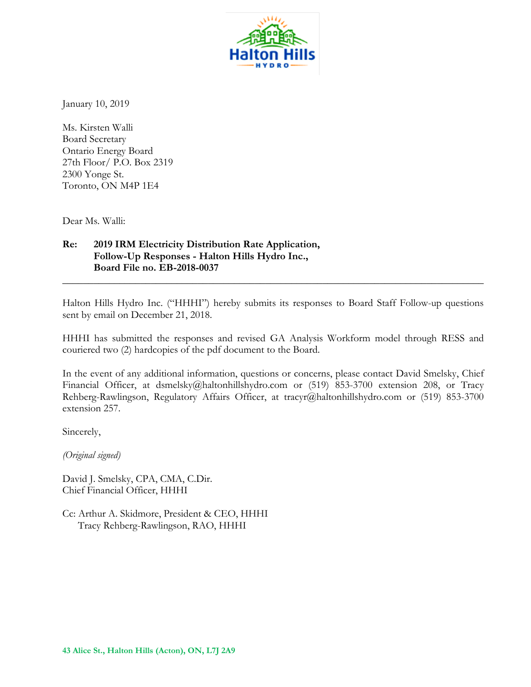

January 10, 2019

Ms. Kirsten Walli Board Secretary Ontario Energy Board 27th Floor/ P.O. Box 2319 2300 Yonge St. Toronto, ON M4P 1E4

Dear Ms. Walli:

### **Re: 2019 IRM Electricity Distribution Rate Application, Follow-Up Responses - Halton Hills Hydro Inc., Board File no. EB-2018-0037**

Halton Hills Hydro Inc. ("HHHI") hereby submits its responses to Board Staff Follow-up questions sent by email on December 21, 2018.

**\_\_\_\_\_\_\_\_\_\_\_\_\_\_\_\_\_\_\_\_\_\_\_\_\_\_\_\_\_\_\_\_\_\_\_\_\_\_\_\_\_\_\_\_\_\_\_\_\_\_\_\_\_\_\_\_\_\_\_\_\_\_\_\_\_\_\_\_\_\_\_\_\_\_\_\_\_\_\_\_\_** 

HHHI has submitted the responses and revised GA Analysis Workform model through RESS and couriered two (2) hardcopies of the pdf document to the Board.

In the event of any additional information, questions or concerns, please contact David Smelsky, Chief Financial Officer, at dsmelsky@haltonhillshydro.com or (519) 853-3700 extension 208, or Tracy Rehberg-Rawlingson, Regulatory Affairs Officer, at tracyr@haltonhillshydro.com or (519) 853-3700 extension 257.

Sincerely,

*(Original signed)*

David J. Smelsky, CPA, CMA, C.Dir. Chief Financial Officer, HHHI

Cc: Arthur A. Skidmore, President & CEO, HHHI Tracy Rehberg-Rawlingson, RAO, HHHI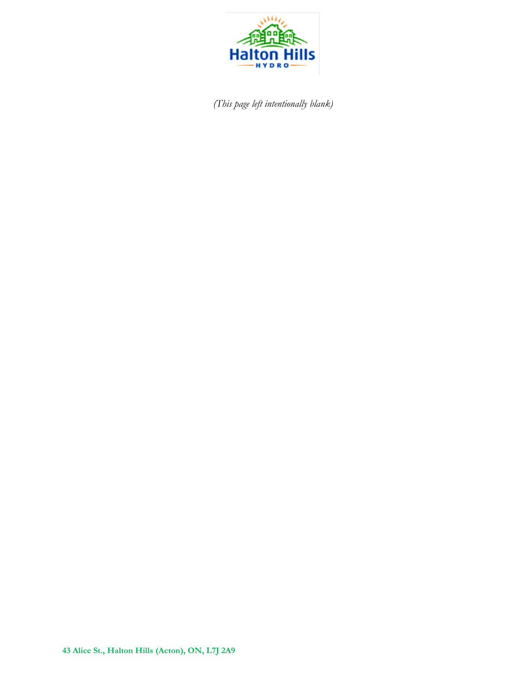

*(This page left intentionally blank)*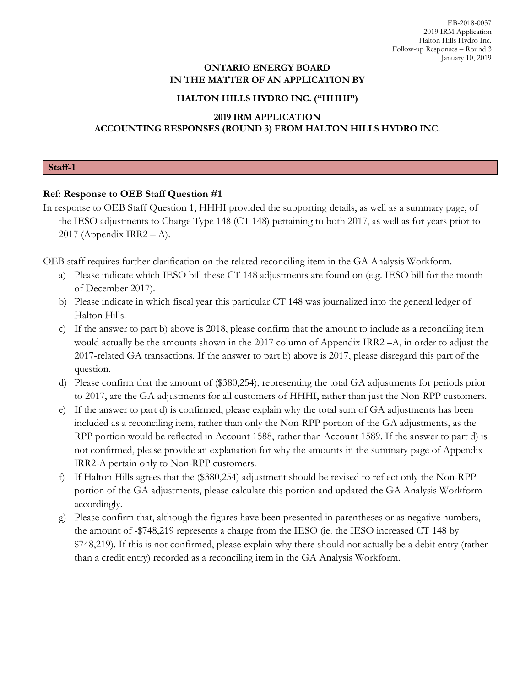#### **ONTARIO ENERGY BOARD IN THE MATTER OF AN APPLICATION BY**

### **HALTON HILLS HYDRO INC. ("HHHI")**

### **2019 IRM APPLICATION ACCOUNTING RESPONSES (ROUND 3) FROM HALTON HILLS HYDRO INC.**

#### **Staff-1**

### **Ref: Response to OEB Staff Question #1**

In response to OEB Staff Question 1, HHHI provided the supporting details, as well as a summary page, of the IESO adjustments to Charge Type 148 (CT 148) pertaining to both 2017, as well as for years prior to 2017 (Appendix IRR2 – A).

OEB staff requires further clarification on the related reconciling item in the GA Analysis Workform.

- a) Please indicate which IESO bill these CT 148 adjustments are found on (e.g. IESO bill for the month of December 2017).
- b) Please indicate in which fiscal year this particular CT 148 was journalized into the general ledger of Halton Hills.
- c) If the answer to part b) above is 2018, please confirm that the amount to include as a reconciling item would actually be the amounts shown in the 2017 column of Appendix IRR2 –A, in order to adjust the 2017-related GA transactions. If the answer to part b) above is 2017, please disregard this part of the question.
- d) Please confirm that the amount of (\$380,254), representing the total GA adjustments for periods prior to 2017, are the GA adjustments for all customers of HHHI, rather than just the Non-RPP customers.
- e) If the answer to part d) is confirmed, please explain why the total sum of GA adjustments has been included as a reconciling item, rather than only the Non-RPP portion of the GA adjustments, as the RPP portion would be reflected in Account 1588, rather than Account 1589. If the answer to part d) is not confirmed, please provide an explanation for why the amounts in the summary page of Appendix IRR2-A pertain only to Non-RPP customers.
- f) If Halton Hills agrees that the (\$380,254) adjustment should be revised to reflect only the Non-RPP portion of the GA adjustments, please calculate this portion and updated the GA Analysis Workform accordingly.
- g) Please confirm that, although the figures have been presented in parentheses or as negative numbers, the amount of -\$748,219 represents a charge from the IESO (ie. the IESO increased CT 148 by \$748,219). If this is not confirmed, please explain why there should not actually be a debit entry (rather than a credit entry) recorded as a reconciling item in the GA Analysis Workform.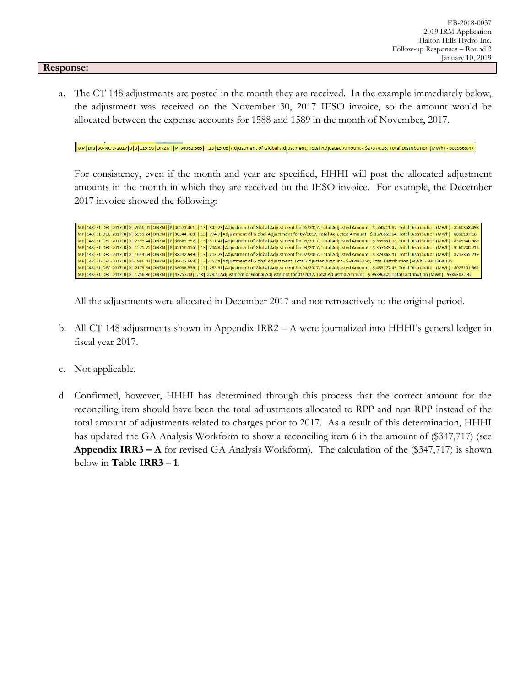#### **Response:**

a. The CT 148 adjustments are posted in the month they are received. In the example immediately below, the adjustment was received on the November 30, 2017 IESO invoice, so the amount would be allocated between the expense accounts for 1588 and 1589 in the month of November, 2017.

MP|148|30-NOV-2017|0|0|115.98|ONZN||P|34062.565||.13|15.08|Adjustment of Global Adjustment, Total Adjusted Amount - \$27374.16, Total Distribution (MWh) - 8039566.47

For consistency, even if the month and year are specified, HHHI will post the allocated adjustment amounts in the month in which they are received on the IESO invoice. For example, the December 2017 invoice showed the following:



All the adjustments were allocated in December 2017 and not retroactively to the original period.

- b. All CT 148 adjustments shown in Appendix IRR2 A were journalized into HHHI's general ledger in fiscal year 2017.
- c. Not applicable.
- d. Confirmed, however, HHHI has determined through this process that the correct amount for the reconciling item should have been the total adjustments allocated to RPP and non-RPP instead of the total amount of adjustments related to charges prior to 2017. As a result of this determination, HHHI has updated the GA Analysis Workform to show a reconciling item 6 in the amount of (\$347,717) (see **Appendix IRR3 – A** for revised GA Analysis Workform). The calculation of the (\$347,717) is shown below in **Table IRR3 – 1**.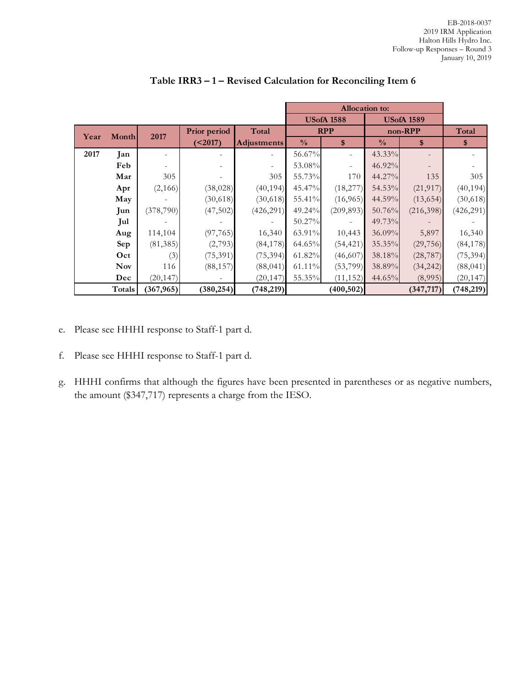|      |               |            |                 |                    | <b>Allocation to:</b> |                   |               |                   |               |
|------|---------------|------------|-----------------|--------------------|-----------------------|-------------------|---------------|-------------------|---------------|
|      |               |            |                 |                    |                       | <b>USofA 1588</b> |               | <b>USofA 1589</b> |               |
| Year |               |            | Prior period    | Total              |                       | <b>RPP</b>        |               | non-RPP           | Total         |
|      | 2017<br>Month |            | ( <b>2017</b> ) | <b>Adjustments</b> |                       | \$                | $\frac{0}{0}$ | \$                | $\mathbf{\$}$ |
| 2017 | Jan           |            |                 |                    | 56.67%                |                   | 43.33%        |                   |               |
|      | Feb           |            |                 |                    | 53.08%                |                   | 46.92%        |                   |               |
|      | Mar           | 305        |                 | 305                | 55.73%                | 170               | 44.27%        | 135               | 305           |
|      | Apr           | (2,166)    | (38, 028)       | (40, 194)          | 45.47%                | (18, 277)         | 54.53%        | (21, 917)         | (40, 194)     |
|      | May           |            | (30,618)        | (30, 618)          | 55.41%                | (16, 965)         | 44.59%        | (13, 654)         | (30,618)      |
|      | Jun           | (378, 790) | (47,502)        | (426, 291)         | 49.24%                | (209, 893)        | 50.76%        | (216,398)         | (426, 291)    |
|      | Jul           |            |                 |                    | 50.27%                |                   | 49.73%        |                   |               |
|      | Aug           | 114,104    | (97, 765)       | 16,340             | 63.91%                | 10,443            | 36.09%        | 5,897             | 16,340        |
|      | Sep           | (81, 385)  | (2,793)         | (84, 178)          | 64.65%                | (54, 421)         | 35.35%        | (29, 756)         | (84, 178)     |
|      | Oct           | (3)        | (75, 391)       | (75, 394)          | 61.82%                | (46,607)          | 38.18%        | (28, 787)         | (75, 394)     |
|      | <b>Nov</b>    | 116        | (88, 157)       | (88, 041)          | 61.11%                | (53,799)          | 38.89%        | (34, 242)         | (88, 041)     |
|      | Dec           | (20, 147)  |                 | (20, 147)          | 55.35%                | (11, 152)         | 44.65%        | (8,995)           | (20, 147)     |
|      | Totals        | (367, 965) | (380, 254)      | (748, 219)         |                       | (400, 502)        |               | (347, 717)        | (748, 219)    |

### **Table IRR3 – 1 – Revised Calculation for Reconciling Item 6**

- e. Please see HHHI response to Staff-1 part d.
- f. Please see HHHI response to Staff-1 part d.
- g. HHHI confirms that although the figures have been presented in parentheses or as negative numbers, the amount (\$347,717) represents a charge from the IESO.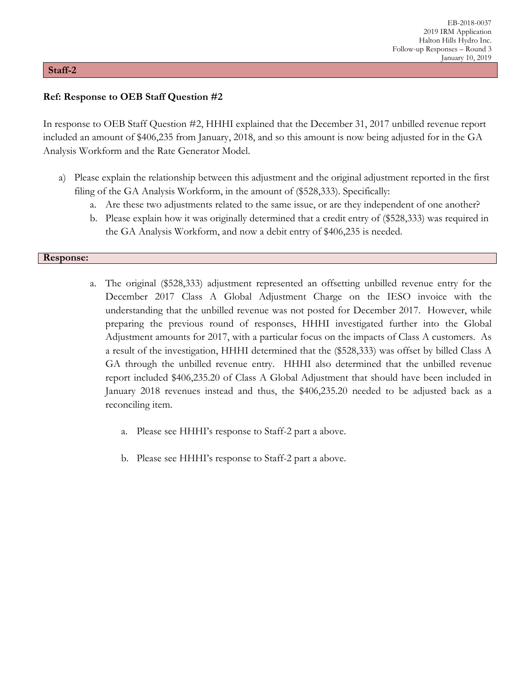#### **Staff-2**

### **Ref: Response to OEB Staff Question #2**

In response to OEB Staff Question #2, HHHI explained that the December 31, 2017 unbilled revenue report included an amount of \$406,235 from January, 2018, and so this amount is now being adjusted for in the GA Analysis Workform and the Rate Generator Model.

- a) Please explain the relationship between this adjustment and the original adjustment reported in the first filing of the GA Analysis Workform, in the amount of (\$528,333). Specifically:
	- a. Are these two adjustments related to the same issue, or are they independent of one another?
	- b. Please explain how it was originally determined that a credit entry of (\$528,333) was required in the GA Analysis Workform, and now a debit entry of \$406,235 is needed.

#### **Response:**

- a. The original (\$528,333) adjustment represented an offsetting unbilled revenue entry for the December 2017 Class A Global Adjustment Charge on the IESO invoice with the understanding that the unbilled revenue was not posted for December 2017. However, while preparing the previous round of responses, HHHI investigated further into the Global Adjustment amounts for 2017, with a particular focus on the impacts of Class A customers. As a result of the investigation, HHHI determined that the (\$528,333) was offset by billed Class A GA through the unbilled revenue entry. HHHI also determined that the unbilled revenue report included \$406,235.20 of Class A Global Adjustment that should have been included in January 2018 revenues instead and thus, the \$406,235.20 needed to be adjusted back as a reconciling item.
	- a. Please see HHHI's response to Staff-2 part a above.
	- b. Please see HHHI's response to Staff-2 part a above.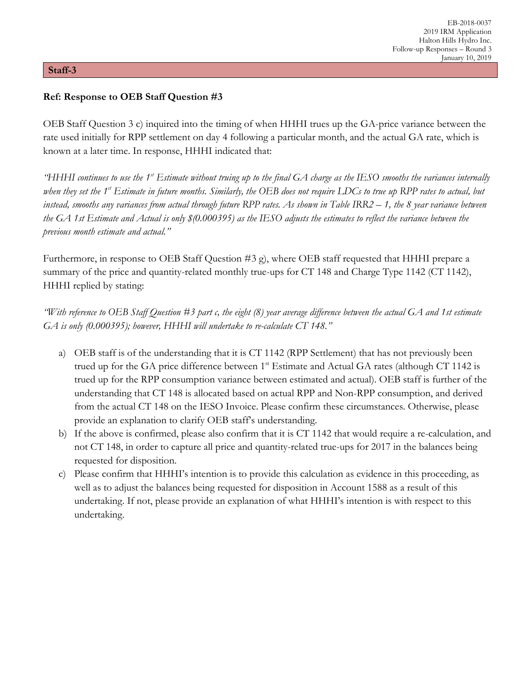### **Staff-3**

### **Ref: Response to OEB Staff Question #3**

OEB Staff Question 3 c) inquired into the timing of when HHHI trues up the GA-price variance between the rate used initially for RPP settlement on day 4 following a particular month, and the actual GA rate, which is known at a later time. In response, HHHI indicated that:

*"HHHI continues to use the 1st Estimate without truing up to the final GA charge as the IESO smooths the variances internally when they set the 1st Estimate in future months. Similarly, the OEB does not require LDCs to true up RPP rates to actual, but instead, smooths any variances from actual through future RPP rates. As shown in Table IRR2 – 1, the 8 year variance between the GA 1st Estimate and Actual is only \$(0.000395) as the IESO adjusts the estimates to reflect the variance between the previous month estimate and actual."*

Furthermore, in response to OEB Staff Question #3 g), where OEB staff requested that HHHI prepare a summary of the price and quantity-related monthly true-ups for CT 148 and Charge Type 1142 (CT 1142), HHHI replied by stating:

*"With reference to OEB Staff Question #3 part c, the eight (8) year average difference between the actual GA and 1st estimate GA is only (0.000395); however, HHHI will undertake to re-calculate CT 148."*

- a) OEB staff is of the understanding that it is CT 1142 (RPP Settlement) that has not previously been trued up for the GA price difference between  $1<sup>st</sup>$  Estimate and Actual GA rates (although CT 1142 is trued up for the RPP consumption variance between estimated and actual). OEB staff is further of the understanding that CT 148 is allocated based on actual RPP and Non-RPP consumption, and derived from the actual CT 148 on the IESO Invoice. Please confirm these circumstances. Otherwise, please provide an explanation to clarify OEB staff's understanding.
- b) If the above is confirmed, please also confirm that it is CT 1142 that would require a re-calculation, and not CT 148, in order to capture all price and quantity-related true-ups for 2017 in the balances being requested for disposition.
- c) Please confirm that HHHI's intention is to provide this calculation as evidence in this proceeding, as well as to adjust the balances being requested for disposition in Account 1588 as a result of this undertaking. If not, please provide an explanation of what HHHI's intention is with respect to this undertaking.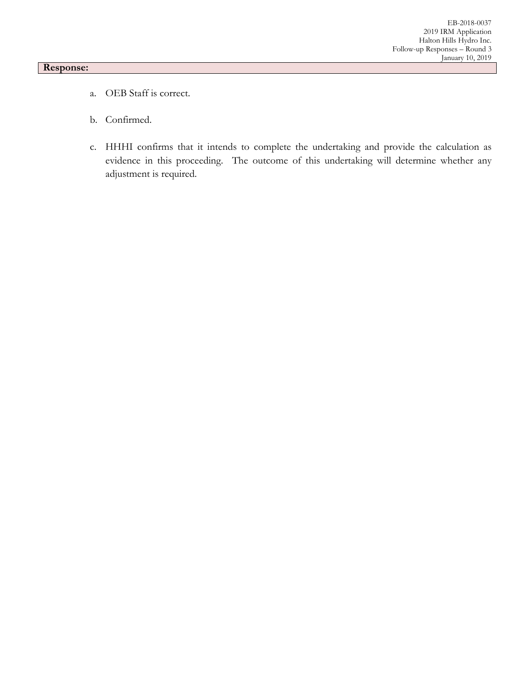- a. OEB Staff is correct.
- b. Confirmed.
- c. HHHI confirms that it intends to complete the undertaking and provide the calculation as evidence in this proceeding. The outcome of this undertaking will determine whether any adjustment is required.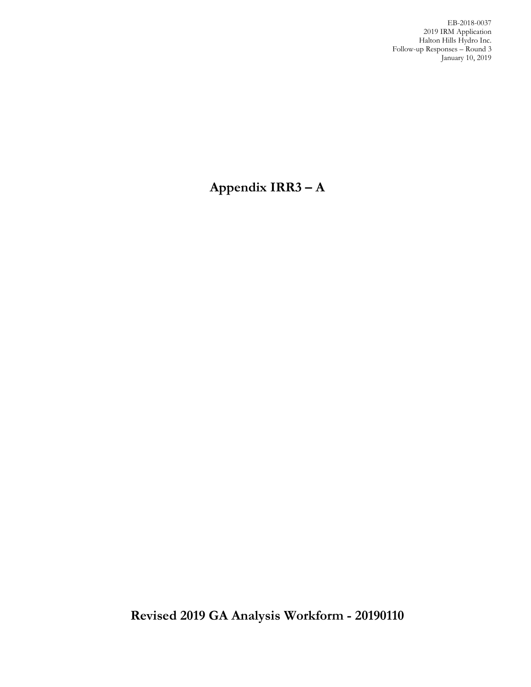EB-2018-0037 2019 IRM Application Halton Hills Hydro Inc. Follow-up Responses – Round 3 January 10, 2019

**Appendix IRR3 – A** 

**Revised 2019 GA Analysis Workform - 20190110**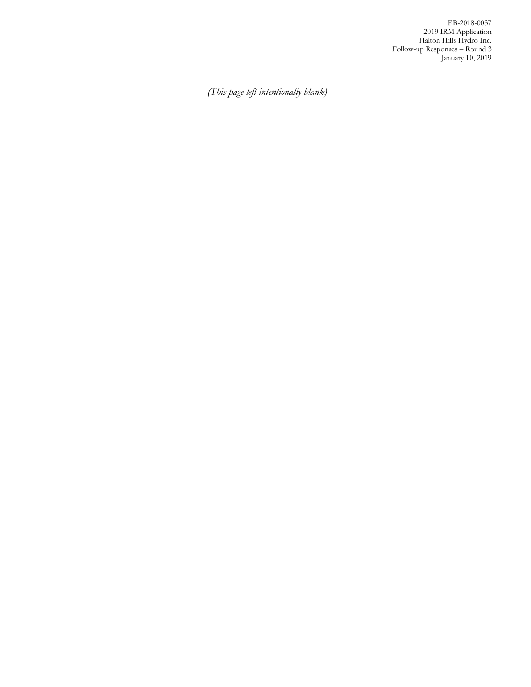EB-2018-0037 2019 IRM Application Halton Hills Hydro Inc. Follow-up Responses – Round 3 January 10, 2019

*(This page left intentionally blank)*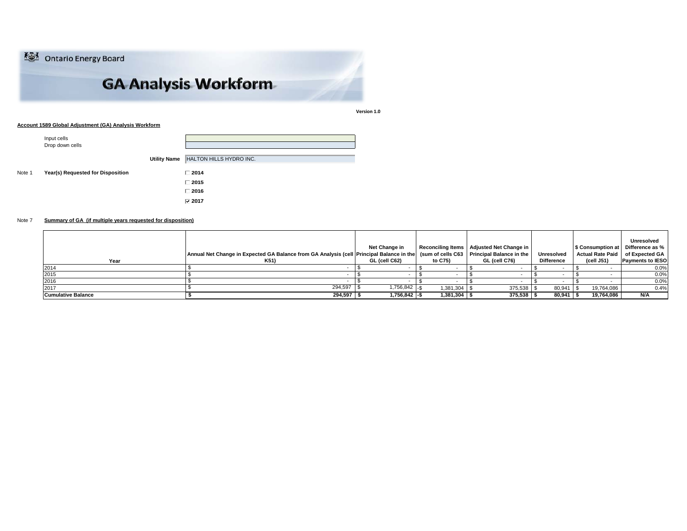**And Ontario Energy Board** 

# **GA Analysis Workform**

**Version 1.0**

#### **Account 1589 Global Adjustment (GA) Analysis Workform**

| Input cells     |  |
|-----------------|--|
| Drop down cells |  |
|                 |  |
|                 |  |

**Utility Name HALTON HILLS HYDRO INC.** 

Note 1 **Year(s) Requested for Disposition**

**2014 2015 2016 2017**

#### Note 7 **Summary of GA (if multiple years requested for disposition)**

|                    |                                                                                                                                       |               |           |                                            |                   |                                   | <b>Unresolved</b>                 |
|--------------------|---------------------------------------------------------------------------------------------------------------------------------------|---------------|-----------|--------------------------------------------|-------------------|-----------------------------------|-----------------------------------|
|                    |                                                                                                                                       | Net Change in |           | Reconciling Items   Adjusted Net Change in |                   | \$ Consumption at Difference as % |                                   |
|                    | Annual Net Change in Expected GA Balance from GA Analysis (cell Principal Balance in the (sum of cells C63   Principal Balance in the |               |           |                                            | Unresolved        |                                   | Actual Rate Paid   of Expected GA |
| Year               | K51)                                                                                                                                  | GL (cell C62) | to C75)   | GL (cell C76)                              | <b>Difference</b> | (cell J51)                        | <b>Payments to IESO</b>           |
| 2014               |                                                                                                                                       |               |           |                                            |                   |                                   | 0.0%                              |
| 2015               |                                                                                                                                       |               |           |                                            |                   |                                   | 0.0%                              |
| 2016               |                                                                                                                                       |               |           |                                            |                   |                                   | 0.0%                              |
| 2017               | 294.597                                                                                                                               | 1,756,842     | 1,381,304 | 375.538                                    | 80,941            | 19,764,086                        | 0.4%                              |
| Cumulative Balance | 294.597                                                                                                                               | 1.756.842     | 1.381.304 | $375,538$ $\frac{1}{3}$                    | 80,941            | 19,764,086                        | N/A                               |